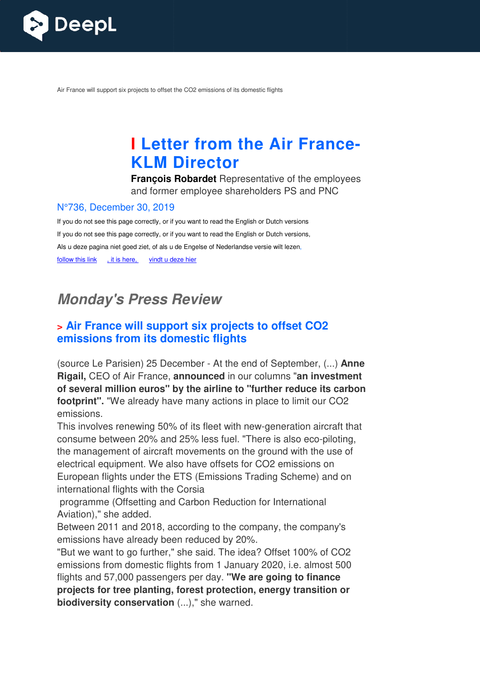

Air France will support six projects to offset the CO2 emissions of its domestic flights

# **I** Letter from the Air France-**KLM Director**

**François Robardet** Representative of the employees and former employee shareholders PS and PNC

#### N°736, December 30, 2019

If you do not see this page correctly, or if you want to read the English or Dutch versions If you do not see this page correctly, or if you want to read the English or Dutch versions, Als u deze pagina niet goed ziet, of als u de Engelse of Nederlandse versie wilt lezen, follow this link , it is here, vindt u deze hier

# **Monday's Press Revie Review**

### **> Air France will support six projects to offset CO2 emissions from its domestic flights**

(source Le Parisien) 25 December - At the end of September, (...) **Anne Rigail,** CEO of Air France, **announced** in our columns "**an investment of several million euros" by the airline to "further reduce its carbon footprint".** "We already have many actions in place to limit our CO2 emissions.

This involves renewing 50% of its fleet with new-generation aircraft that<br>consume between 20% and 25% less fuel. "There is also eco-piloting, consume between 20% and 25% less fuel. "There is also eco-piloting, the management of aircraft movements on the ground with the use of electrical equipment. We also have offsets for CO2 emissions on European flights under the ETS (Emissions Trading Scheme) and on international flights with the Corsia

programme (Offsetting and Carbon Reduction for International Aviation)," she added.

Between 2011 and 2018, according to the company, the company's emissions have already been reduced by 20%. international flights with the Corsia<br>
programme (Offsetting and Carbon Reduction for International<br>
Aviation)," she added.<br>
Between 2011 and 2018, according to the company, the company's<br>
emissions have already been reduc

emissions from domestic flights from 1 January 2020, i.e. almost 500 flights and 57,000 passengers per day. **"We are going to finance projects for tree planting, forest protection, energy transition or biodiversity conservation** (...)," she warned.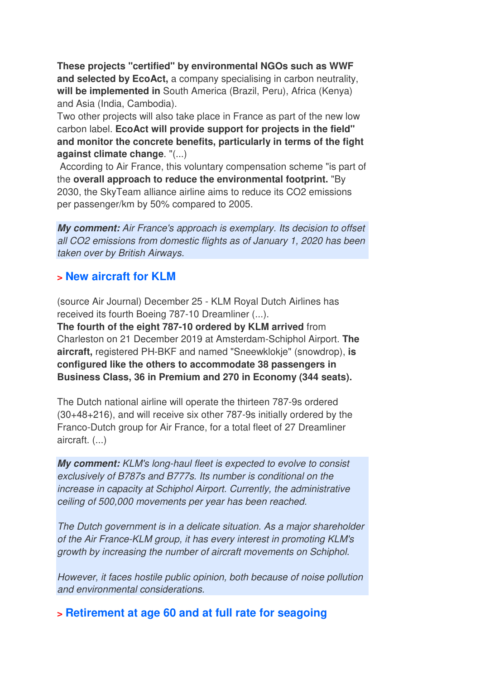**These projects "certified" by environmental NGOs such as WWF and selected by EcoAct,** a company specialising in carbon neutrality, **will be implemented in** South America (Brazil, Peru), Africa (Kenya) and Asia (India, Cambodia).

Two other projects will also take place in France as part of the new low carbon label. **EcoAct will provide support for projects in the field" and monitor the concrete benefits, particularly in terms of the fight against climate change**. "(...)

 According to Air France, this voluntary compensation scheme "is part of the **overall approach to reduce the environmental footprint.** "By 2030, the SkyTeam alliance airline aims to reduce its CO2 emissions per passenger/km by 50% compared to 2005.

**My comment:** *Air France's approach is exemplary. Its decision to offset all CO2 emissions from domestic flights as of January 1, 2020 has been taken over by British Airways.*

#### **> New aircraft for KLM**

(source Air Journal) December 25 - KLM Royal Dutch Airlines has received its fourth Boeing 787-10 Dreamliner (...).

**The fourth of the eight 787-10 ordered by KLM arrived** from Charleston on 21 December 2019 at Amsterdam-Schiphol Airport. **The aircraft,** registered PH-BKF and named "Sneewklokje" (snowdrop), **is configured like the others to accommodate 38 passengers in Business Class, 36 in Premium and 270 in Economy (344 seats).** 

The Dutch national airline will operate the thirteen 787-9s ordered (30+48+216), and will receive six other 787-9s initially ordered by the Franco-Dutch group for Air France, for a total fleet of 27 Dreamliner aircraft. (...)

**My comment:** *KLM's long-haul fleet is expected to evolve to consist exclusively of B787s and B777s. Its number is conditional on the increase in capacity at Schiphol Airport. Currently, the administrative ceiling of 500,000 movements per year has been reached.* 

*The Dutch government is in a delicate situation. As a major shareholder of the Air France-KLM group, it has every interest in promoting KLM's growth by increasing the number of aircraft movements on Schiphol.* 

*However, it faces hostile public opinion, both because of noise pollution and environmental considerations.*

**> Retirement at age 60 and at full rate for seagoing**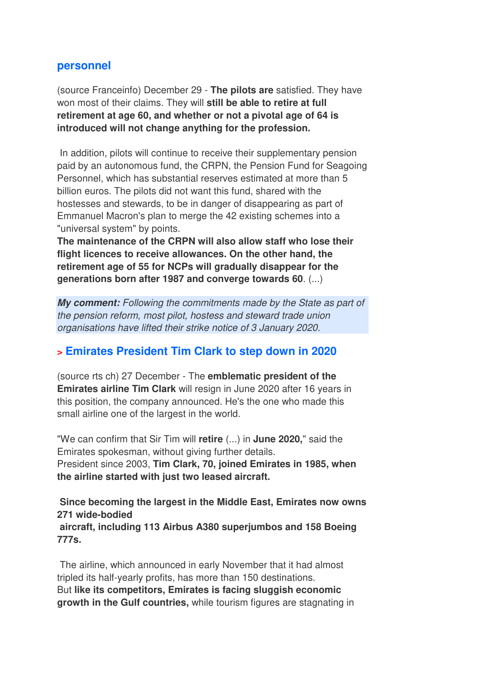#### **personnel**

(source Franceinfo) December 29 - **The pilots are** satisfied. They have won most of their claims. They will **still be able to retire at full retirement at age 60, and whether or not a pivotal age of 64 is introduced will not change anything for the profession.** 

 In addition, pilots will continue to receive their supplementary pension paid by an autonomous fund, the CRPN, the Pension Fund for Seagoing Personnel, which has substantial reserves estimated at more than 5 billion euros. The pilots did not want this fund, shared with the hostesses and stewards, to be in danger of disappearing as part of Emmanuel Macron's plan to merge the 42 existing schemes into a "universal system" by points.

**The maintenance of the CRPN will also allow staff who lose their flight licences to receive allowances. On the other hand, the retirement age of 55 for NCPs will gradually disappear for the generations born after 1987 and converge towards 60**. (...)

**My comment:** *Following the commitments made by the State as part of the pension reform, most pilot, hostess and steward trade union organisations have lifted their strike notice of 3 January 2020.*

#### **> Emirates President Tim Clark to step down in 2020**

(source rts ch) 27 December - The **emblematic president of the Emirates airline Tim Clark** will resign in June 2020 after 16 years in this position, the company announced. He's the one who made this small airline one of the largest in the world.

"We can confirm that Sir Tim will **retire** (...) in **June 2020,**" said the Emirates spokesman, without giving further details. President since 2003, **Tim Clark, 70, joined Emirates in 1985, when the airline started with just two leased aircraft.** 

**Since becoming the largest in the Middle East, Emirates now owns 271 wide-bodied aircraft, including 113 Airbus A380 superjumbos and 158 Boeing 777s.** 

 The airline, which announced in early November that it had almost tripled its half-yearly profits, has more than 150 destinations. But **like its competitors, Emirates is facing sluggish economic growth in the Gulf countries,** while tourism figures are stagnating in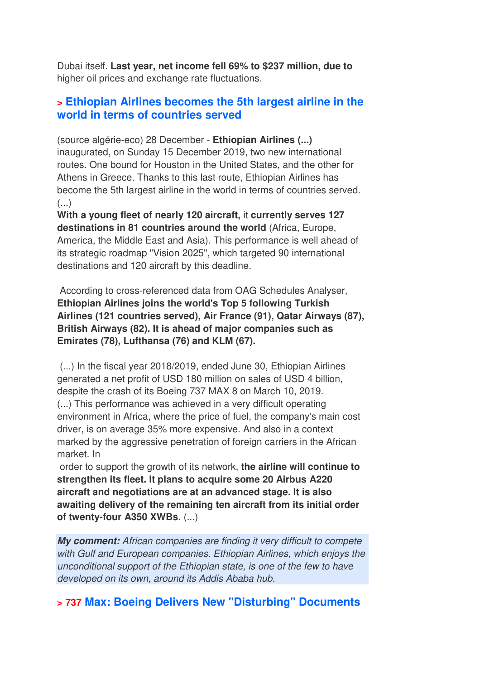Dubai itself. **Last year, net income fell 69% to \$237 million, due to** higher oil prices and exchange rate fluctuations.

#### **> Ethiopian Airlines becomes the 5th largest airline in the world in terms of countries served**

(source algérie-eco) 28 December - **Ethiopian Airlines (...)** inaugurated, on Sunday 15 December 2019, two new international routes. One bound for Houston in the United States, and the other for Athens in Greece. Thanks to this last route, Ethiopian Airlines has become the 5th largest airline in the world in terms of countries served. (...)

**With a young fleet of nearly 120 aircraft,** it **currently serves 127 destinations in 81 countries around the world** (Africa, Europe, America, the Middle East and Asia). This performance is well ahead of its strategic roadmap "Vision 2025", which targeted 90 international destinations and 120 aircraft by this deadline.

 According to cross-referenced data from OAG Schedules Analyser, **Ethiopian Airlines joins the world's Top 5 following Turkish Airlines (121 countries served), Air France (91), Qatar Airways (87), British Airways (82). It is ahead of major companies such as Emirates (78), Lufthansa (76) and KLM (67).** 

 (...) In the fiscal year 2018/2019, ended June 30, Ethiopian Airlines generated a net profit of USD 180 million on sales of USD 4 billion, despite the crash of its Boeing 737 MAX 8 on March 10, 2019. (...) This performance was achieved in a very difficult operating environment in Africa, where the price of fuel, the company's main cost driver, is on average 35% more expensive. And also in a context marked by the aggressive penetration of foreign carriers in the African market. In

 order to support the growth of its network, **the airline will continue to strengthen its fleet. It plans to acquire some 20 Airbus A220 aircraft and negotiations are at an advanced stage. It is also awaiting delivery of the remaining ten aircraft from its initial order of twenty-four A350 XWBs.** (...)

**My comment:** *African companies are finding it very difficult to compete with Gulf and European companies. Ethiopian Airlines, which enjoys the unconditional support of the Ethiopian state, is one of the few to have developed on its own, around its Addis Ababa hub.* 

#### **> 737 Max: Boeing Delivers New "Disturbing" Documents**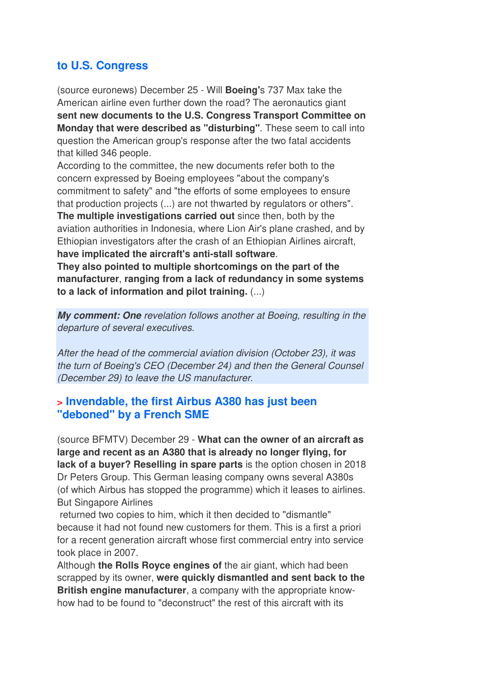### **to U.S. Congress**

(source euronews) December 25 - Will **Boeing'**s 737 Max take the American airline even further down the road? The aeronautics giant **sent new documents to the U.S. Congress Transport Committee on Monday that were described as "disturbing"**. These seem to call into question the American group's response after the two fatal accidents that killed 346 people.

According to the committee, the new documents refer both to the concern expressed by Boeing employees "about the company's commitment to safety" and "the efforts of some employees to ensure that production projects (...) are not thwarted by regulators or others".

**The multiple investigations carried out** since then, both by the aviation authorities in Indonesia, where Lion Air's plane crashed, and by Ethiopian investigators after the crash of an Ethiopian Airlines aircraft, **have implicated the aircraft's anti-stall software**.

**They also pointed to multiple shortcomings on the part of the manufacturer**, **ranging from a lack of redundancy in some systems to a lack of information and pilot training.** (...)

**My comment: One** *revelation follows another at Boeing, resulting in the departure of several executives.* 

*After the head of the commercial aviation division (October 23), it was the turn of Boeing's CEO (December 24) and then the General Counsel (December 29) to leave the US manufacturer.*

#### **> Invendable, the first Airbus A380 has just been "deboned" by a French SME**

(source BFMTV) December 29 - **What can the owner of an aircraft as large and recent as an A380 that is already no longer flying, for lack of a buyer? Reselling in spare parts** is the option chosen in 2018 Dr Peters Group. This German leasing company owns several A380s (of which Airbus has stopped the programme) which it leases to airlines. But Singapore Airlines

 returned two copies to him, which it then decided to "dismantle" because it had not found new customers for them. This is a first a priori for a recent generation aircraft whose first commercial entry into service took place in 2007.

Although **the Rolls Royce engines of** the air giant, which had been scrapped by its owner, **were quickly dismantled and sent back to the British engine manufacturer**, a company with the appropriate knowhow had to be found to "deconstruct" the rest of this aircraft with its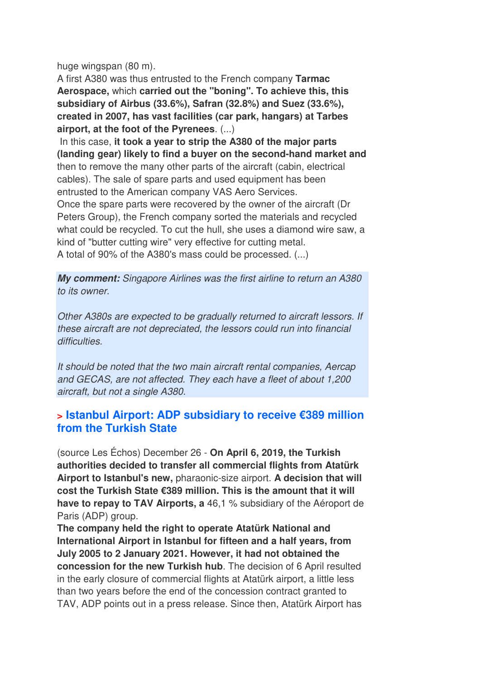huge wingspan (80 m).

A first A380 was thus entrusted to the French company **Tarmac Aerospace,** which **carried out the "boning". To achieve this, this subsidiary of Airbus (33.6%), Safran (32.8%) and Suez (33.6%), created in 2007, has vast facilities (car park, hangars) at Tarbes airport, at the foot of the Pyrenees**. (...)

 In this case, **it took a year to strip the A380 of the major parts (landing gear) likely to find a buyer on the second-hand market and** then to remove the many other parts of the aircraft (cabin, electrical cables). The sale of spare parts and used equipment has been entrusted to the American company VAS Aero Services. Once the spare parts were recovered by the owner of the aircraft (Dr Peters Group), the French company sorted the materials and recycled what could be recycled. To cut the hull, she uses a diamond wire saw, a kind of "butter cutting wire" very effective for cutting metal. A total of 90% of the A380's mass could be processed. (...)

**My comment:** *Singapore Airlines was the first airline to return an A380 to its owner.* 

*Other A380s are expected to be gradually returned to aircraft lessors. If these aircraft are not depreciated, the lessors could run into financial difficulties.* 

*It should be noted that the two main aircraft rental companies, Aercap and GECAS, are not affected. They each have a fleet of about 1,200 aircraft, but not a single A380*.

#### **> Istanbul Airport: ADP subsidiary to receive €389 million from the Turkish State**

(source Les Échos) December 26 - **On April 6, 2019, the Turkish authorities decided to transfer all commercial flights from Atatürk Airport to Istanbul's new,** pharaonic-size airport. **A decision that will cost the Turkish State €389 million. This is the amount that it will have to repay to TAV Airports, a** 46,1 % subsidiary of the Aéroport de Paris (ADP) group.

**The company held the right to operate Atatürk National and International Airport in Istanbul for fifteen and a half years, from July 2005 to 2 January 2021. However, it had not obtained the concession for the new Turkish hub**. The decision of 6 April resulted in the early closure of commercial flights at Atatürk airport, a little less than two years before the end of the concession contract granted to TAV, ADP points out in a press release. Since then, Atatürk Airport has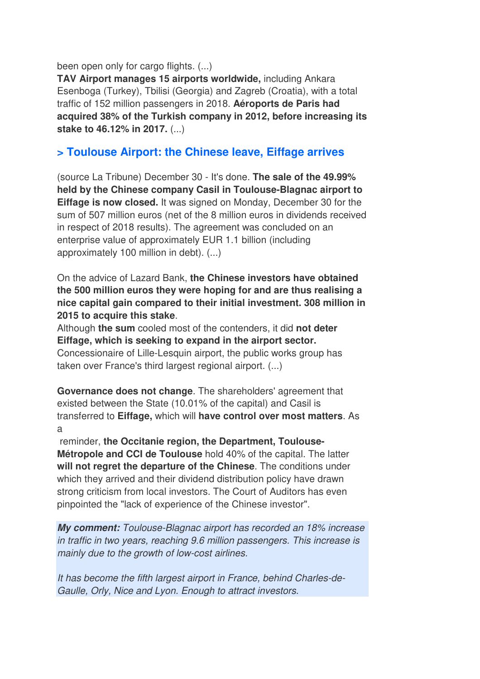been open only for cargo flights. (...)

**TAV Airport manages 15 airports worldwide,** including Ankara Esenboga (Turkey), Tbilisi (Georgia) and Zagreb (Croatia), with a total traffic of 152 million passengers in 2018. **Aéroports de Paris had acquired 38% of the Turkish company in 2012, before increasing its stake to 46.12% in 2017.** (...)

#### **> Toulouse Airport: the Chinese leave, Eiffage arrives**

(source La Tribune) December 30 - It's done. **The sale of the 49.99% held by the Chinese company Casil in Toulouse-Blagnac airport to Eiffage is now closed.** It was signed on Monday, December 30 for the sum of 507 million euros (net of the 8 million euros in dividends received in respect of 2018 results). The agreement was concluded on an enterprise value of approximately EUR 1.1 billion (including approximately 100 million in debt). (...)

On the advice of Lazard Bank, **the Chinese investors have obtained the 500 million euros they were hoping for and are thus realising a nice capital gain compared to their initial investment. 308 million in 2015 to acquire this stake**.

Although **the sum** cooled most of the contenders, it did **not deter Eiffage, which is seeking to expand in the airport sector.**  Concessionaire of Lille-Lesquin airport, the public works group has taken over France's third largest regional airport. (...)

**Governance does not change**. The shareholders' agreement that existed between the State (10.01% of the capital) and Casil is transferred to **Eiffage,** which will **have control over most matters**. As a

 reminder, **the Occitanie region, the Department, Toulouse-Métropole and CCI de Toulouse** hold 40% of the capital. The latter **will not regret the departure of the Chinese**. The conditions under which they arrived and their dividend distribution policy have drawn strong criticism from local investors. The Court of Auditors has even pinpointed the "lack of experience of the Chinese investor".

**My comment:** *Toulouse-Blagnac airport has recorded an 18% increase in traffic in two years, reaching 9.6 million passengers. This increase is mainly due to the growth of low-cost airlines.* 

*It has become the fifth largest airport in France, behind Charles-de-Gaulle, Orly, Nice and Lyon. Enough to attract investors.*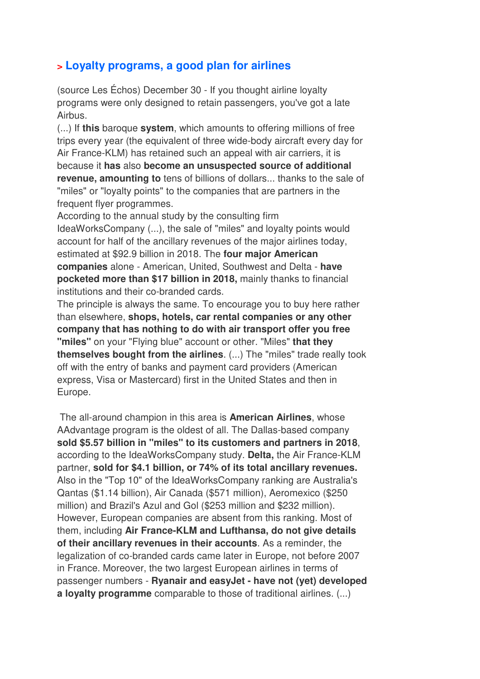## **> Loyalty programs, a good plan for airlines**

(source Les Échos) December 30 - If you thought airline loyalty programs were only designed to retain passengers, you've got a late Airbus.

(...) If **this** baroque **system**, which amounts to offering millions of free trips every year (the equivalent of three wide-body aircraft every day for Air France-KLM) has retained such an appeal with air carriers, it is because it **has** also **become an unsuspected source of additional revenue, amounting to** tens of billions of dollars... thanks to the sale of "miles" or "loyalty points" to the companies that are partners in the frequent flyer programmes.

According to the annual study by the consulting firm IdeaWorksCompany (...), the sale of "miles" and loyalty points would account for half of the ancillary revenues of the major airlines today, estimated at \$92.9 billion in 2018. The **four major American companies** alone - American, United, Southwest and Delta - **have pocketed more than \$17 billion in 2018,** mainly thanks to financial institutions and their co-branded cards.

The principle is always the same. To encourage you to buy here rather than elsewhere, **shops, hotels, car rental companies or any other company that has nothing to do with air transport offer you free "miles"** on your "Flying blue" account or other. "Miles" **that they themselves bought from the airlines**. (...) The "miles" trade really took off with the entry of banks and payment card providers (American express, Visa or Mastercard) first in the United States and then in Europe.

 The all-around champion in this area is **American Airlines**, whose AAdvantage program is the oldest of all. The Dallas-based company **sold \$5.57 billion in "miles" to its customers and partners in 2018**, according to the IdeaWorksCompany study. **Delta,** the Air France-KLM partner, **sold for \$4.1 billion, or 74% of its total ancillary revenues.**  Also in the "Top 10" of the IdeaWorksCompany ranking are Australia's Qantas (\$1.14 billion), Air Canada (\$571 million), Aeromexico (\$250 million) and Brazil's Azul and Gol (\$253 million and \$232 million). However, European companies are absent from this ranking. Most of them, including **Air France-KLM and Lufthansa, do not give details of their ancillary revenues in their accounts**. As a reminder, the legalization of co-branded cards came later in Europe, not before 2007 in France. Moreover, the two largest European airlines in terms of passenger numbers - **Ryanair and easyJet - have not (yet) developed a loyalty programme** comparable to those of traditional airlines. (...)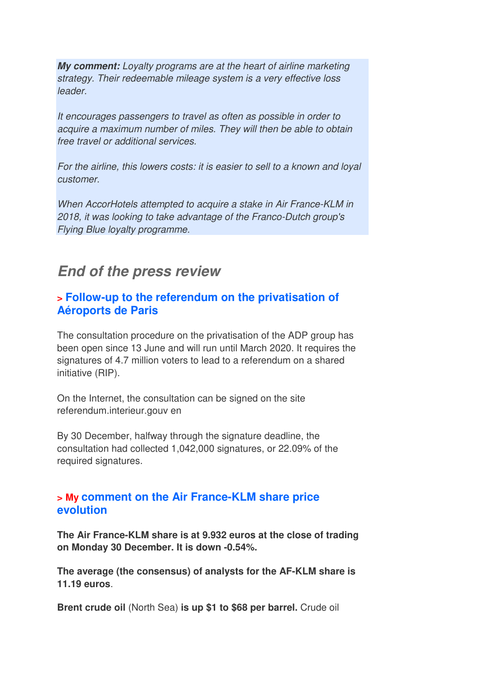**My comment:** *Loyalty programs are at the heart of airline marketing strategy. Their redeemable mileage system is a very effective loss leader.* 

*It encourages passengers to travel as often as possible in order to acquire a maximum number of miles. They will then be able to obtain free travel or additional services.* 

*For the airline, this lowers costs: it is easier to sell to a known and loyal customer.* 

*When AccorHotels attempted to acquire a stake in Air France-KLM in 2018, it was looking to take advantage of the Franco-Dutch group's Flying Blue loyalty programme.*

# **End of the press review**

#### **> Follow-up to the referendum on the privatisation of Aéroports de Paris**

The consultation procedure on the privatisation of the ADP group has been open since 13 June and will run until March 2020. It requires the signatures of 4.7 million voters to lead to a referendum on a shared initiative (RIP).

On the Internet, the consultation can be signed on the site referendum.interieur.gouv en

By 30 December, halfway through the signature deadline, the consultation had collected 1,042,000 signatures, or 22.09% of the required signatures.

#### **> My comment on the Air France-KLM share price evolution**

**The Air France-KLM share is at 9.932 euros at the close of trading on Monday 30 December. It is down -0.54%.** 

**The average (the consensus) of analysts for the AF-KLM share is 11.19 euros**.

**Brent crude oil** (North Sea) **is up \$1 to \$68 per barrel.** Crude oil